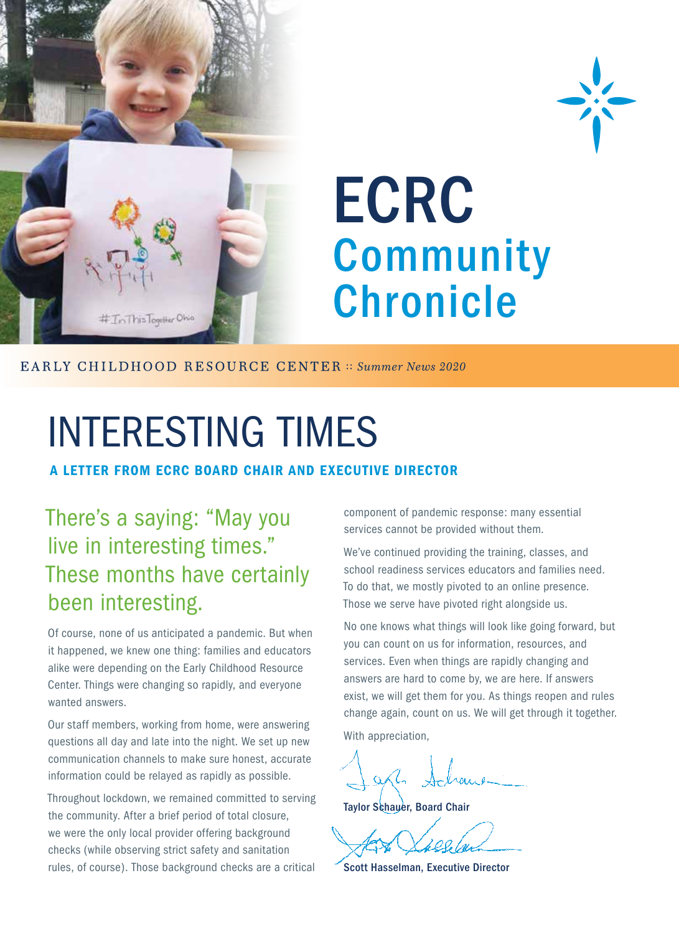

## ECRC **Community Chronicle**

EARLY CHILDHOOD RESOURCE CENTER :: *Summer News 2020* 

## INTERESTING TIMES

A LETTER FROM ECRC BOARD CHAIR AND EXECUTIVE DIRECTOR

### There's a saying: "May you live in interesting times." These months have certainly been interesting.

Of course, none of us anticipated a pandemic. But when it happened, we knew one thing: families and educators alike were depending on the Early Childhood Resource Center. Things were changing so rapidly, and everyone wanted answers.

Our staff members, working from home, were answering questions all day and late into the night. We set up new communication channels to make sure honest, accurate information could be relayed as rapidly as possible.

Throughout lockdown, we remained committed to serving the community. After a brief period of total closure, we were the only local provider offering background checks (while observing strict safety and sanitation rules, of course). Those background checks are a critical component of pandemic response: many essential services cannot be provided without them.

We've continued providing the training, classes, and school readiness services educators and families need. To do that, we mostly pivoted to an online presence. Those we serve have pivoted right alongside us.

No one knows what things will look like going forward, but you can count on us for information, resources, and services. Even when things are rapidly changing and answers are hard to come by, we are here. If answers exist, we will get them for you. As things reopen and rules change again, count on us. We will get through it together.

With appreciation.

**Taylor Schauer, Board Chair** 

Scott Hasselman, Executive Director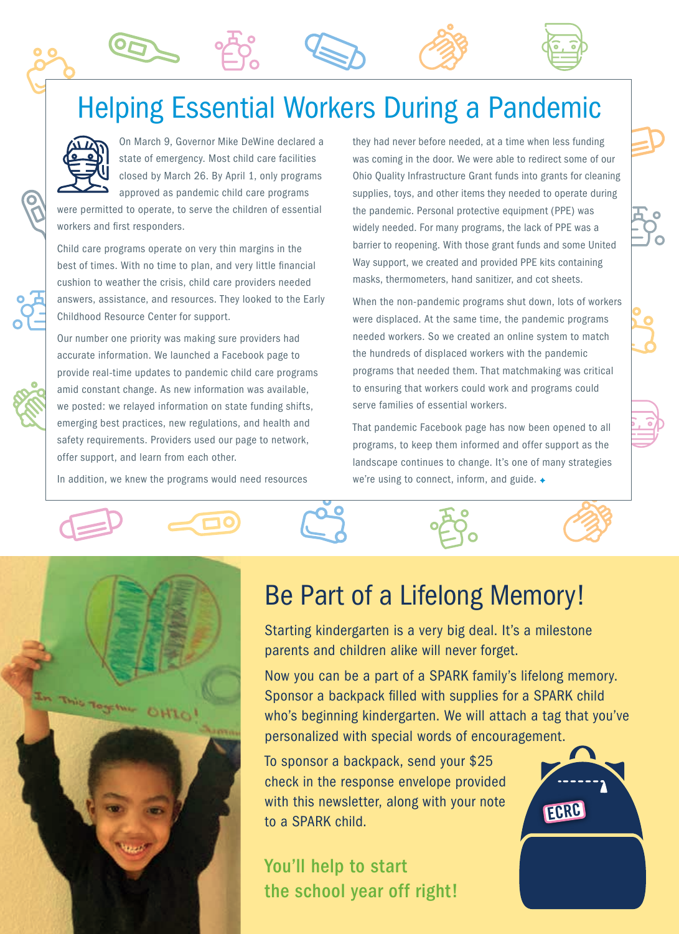### Helping Essential Workers During a Pandemic



On March 9, Governor Mike DeWine declared a state of emergency. Most child care facilities closed by March 26. By April 1, only programs approved as pandemic child care programs

were permitted to operate, to serve the children of essential workers and first responders.

Child care programs operate on very thin margins in the best of times. With no time to plan, and very little financial cushion to weather the crisis, child care providers needed answers, assistance, and resources. They looked to the Early Childhood Resource Center for support.

Our number one priority was making sure providers had accurate information. We launched a Facebook page to provide real-time updates to pandemic child care programs amid constant change. As new information was available, we posted: we relayed information on state funding shifts, emerging best practices, new regulations, and health and safety requirements. Providers used our page to network, offer support, and learn from each other.

In addition, we knew the programs would need resources

they had never before needed, at a time when less funding was coming in the door. We were able to redirect some of our Ohio Quality Infrastructure Grant funds into grants for cleaning supplies, toys, and other items they needed to operate during the pandemic. Personal protective equipment (PPE) was widely needed. For many programs, the lack of PPE was a barrier to reopening. With those grant funds and some United Way support, we created and provided PPE kits containing masks, thermometers, hand sanitizer, and cot sheets.

When the non-pandemic programs shut down, lots of workers were displaced. At the same time, the pandemic programs needed workers. So we created an online system to match the hundreds of displaced workers with the pandemic programs that needed them. That matchmaking was critical to ensuring that workers could work and programs could serve families of essential workers.

That pandemic Facebook page has now been opened to all programs, to keep them informed and offer support as the landscape continues to change. It's one of many strategies we're using to connect, inform, and guide.







### Be Part of a Lifelong Memory!

Starting kindergarten is a very big deal. It's a milestone parents and children alike will never forget.

Now you can be a part of a SPARK family's lifelong memory. Sponsor a backpack filled with supplies for a SPARK child who's beginning kindergarten. We will attach a tag that you've personalized with special words of encouragement.

To sponsor a backpack, send your \$25 check in the response envelope provided with this newsletter, along with your note to a SPARK child.

You'll help to start the school year off right!

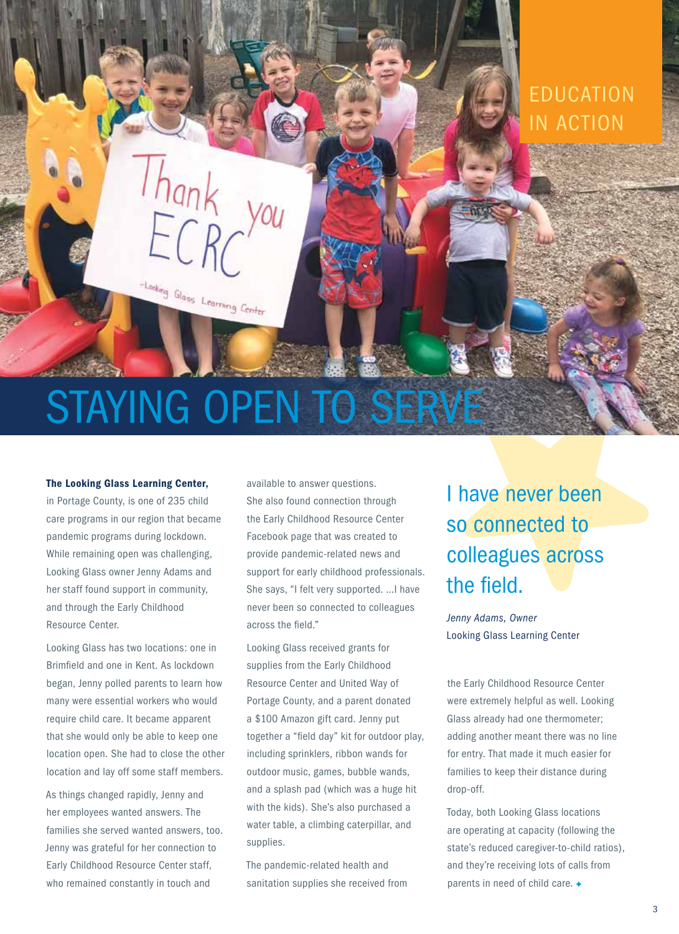# STAYING OPEN TO SERVE

Looking Glass Learning Center

#### The Looking Glass Learning Center,

in Portage County, is one of 235 child care programs in our region that became pandemic programs during lockdown. While remaining open was challenging, Looking Glass owner Jenny Adams and her staff found support in community, and through the Early Childhood Resource Center.

Looking Glass has two locations: one in Brimfield and one in Kent. As lockdown began, Jenny polled parents to learn how many were essential workers who would require child care. It became apparent that she would only be able to keep one location open. She had to close the other location and lay off some staff members.

As things changed rapidly, Jenny and her employees wanted answers. The families she served wanted answers, too. Jenny was grateful for her connection to Early Childhood Resource Center staff, who remained constantly in touch and

available to answer questions. She also found connection through the Early Childhood Resource Center Facebook page that was created to provide pandemic-related news and support for early childhood professionals. She says, "I felt very supported. …I have never been so connected to colleagues across the field."

Looking Glass received grants for supplies from the Early Childhood Resource Center and United Way of Portage County, and a parent donated a \$100 Amazon gift card. Jenny put together a "field day" kit for outdoor play, including sprinklers, ribbon wands for outdoor music, games, bubble wands, and a splash pad (which was a huge hit with the kids). She's also purchased a water table, a climbing caterpillar, and supplies.

The pandemic-related health and sanitation supplies she received from

### I have never been so connected to colleagues across the field.

EDUCATION

IN ACTION

*Jenny Adams, Owner* Looking Glass Learning Center

the Early Childhood Resource Center were extremely helpful as well. Looking Glass already had one thermometer; adding another meant there was no line for entry. That made it much easier for families to keep their distance during drop-off.

Today, both Looking Glass locations are operating at capacity (following the state's reduced caregiver-to-child ratios), and they're receiving lots of calls from parents in need of child care.  $\triangleleft$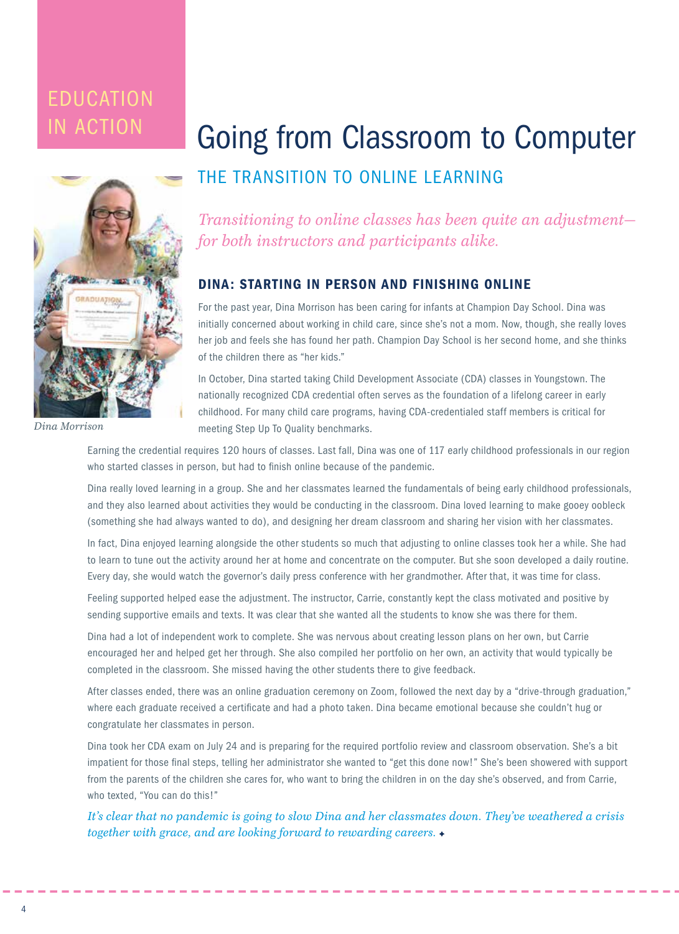## **EDUCATION**



*Dina Morrison*

## IN ACTION Going from Classroom to Computer THE TRANSITION TO ONLINE LEARNING

*Transitioning to online classes has been quite an adjustment for both instructors and participants alike.*

#### DINA: STARTING IN PERSON AND FINISHING ONLINE

For the past year, Dina Morrison has been caring for infants at Champion Day School. Dina was initially concerned about working in child care, since she's not a mom. Now, though, she really loves her job and feels she has found her path. Champion Day School is her second home, and she thinks of the children there as "her kids."

In October, Dina started taking Child Development Associate (CDA) classes in Youngstown. The nationally recognized CDA credential often serves as the foundation of a lifelong career in early childhood. For many child care programs, having CDA-credentialed staff members is critical for meeting Step Up To Quality benchmarks.

Earning the credential requires 120 hours of classes. Last fall, Dina was one of 117 early childhood professionals in our region who started classes in person, but had to finish online because of the pandemic.

Dina really loved learning in a group. She and her classmates learned the fundamentals of being early childhood professionals, and they also learned about activities they would be conducting in the classroom. Dina loved learning to make gooey oobleck (something she had always wanted to do), and designing her dream classroom and sharing her vision with her classmates.

In fact, Dina enjoyed learning alongside the other students so much that adjusting to online classes took her a while. She had to learn to tune out the activity around her at home and concentrate on the computer. But she soon developed a daily routine. Every day, she would watch the governor's daily press conference with her grandmother. After that, it was time for class.

Feeling supported helped ease the adjustment. The instructor, Carrie, constantly kept the class motivated and positive by sending supportive emails and texts. It was clear that she wanted all the students to know she was there for them.

Dina had a lot of independent work to complete. She was nervous about creating lesson plans on her own, but Carrie encouraged her and helped get her through. She also compiled her portfolio on her own, an activity that would typically be completed in the classroom. She missed having the other students there to give feedback.

After classes ended, there was an online graduation ceremony on Zoom, followed the next day by a "drive-through graduation," where each graduate received a certificate and had a photo taken. Dina became emotional because she couldn't hug or congratulate her classmates in person.

Dina took her CDA exam on July 24 and is preparing for the required portfolio review and classroom observation. She's a bit impatient for those final steps, telling her administrator she wanted to "get this done now!" She's been showered with support from the parents of the children she cares for, who want to bring the children in on the day she's observed, and from Carrie, who texted, "You can do this!"

*It's clear that no pandemic is going to slow Dina and her classmates down. They've weathered a crisis together with grace, and are looking forward to rewarding careers.*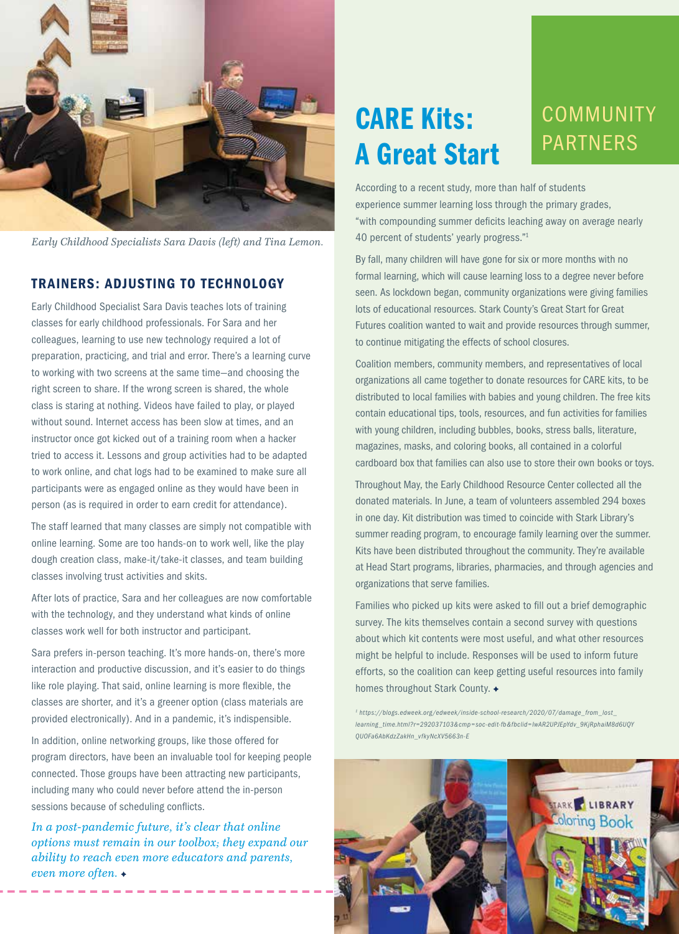

*Early Childhood Specialists Sara Davis (left) and Tina Lemon.*

#### TRAINERS: ADJUSTING TO TECHNOLOGY

Early Childhood Specialist Sara Davis teaches lots of training classes for early childhood professionals. For Sara and her colleagues, learning to use new technology required a lot of preparation, practicing, and trial and error. There's a learning curve to working with two screens at the same time—and choosing the right screen to share. If the wrong screen is shared, the whole class is staring at nothing. Videos have failed to play, or played without sound. Internet access has been slow at times, and an instructor once got kicked out of a training room when a hacker tried to access it. Lessons and group activities had to be adapted to work online, and chat logs had to be examined to make sure all participants were as engaged online as they would have been in person (as is required in order to earn credit for attendance).

The staff learned that many classes are simply not compatible with online learning. Some are too hands-on to work well, like the play dough creation class, make-it/take-it classes, and team building classes involving trust activities and skits.

After lots of practice, Sara and her colleagues are now comfortable with the technology, and they understand what kinds of online classes work well for both instructor and participant.

Sara prefers in-person teaching. It's more hands-on, there's more interaction and productive discussion, and it's easier to do things like role playing. That said, online learning is more flexible, the classes are shorter, and it's a greener option (class materials are provided electronically). And in a pandemic, it's indispensible.

In addition, online networking groups, like those offered for program directors, have been an invaluable tool for keeping people connected. Those groups have been attracting new participants, including many who could never before attend the in-person sessions because of scheduling conflicts.

*In a post-pandemic future, it's clear that online options must remain in our toolbox; they expand our ability to reach even more educators and parents, even more often.*

### CARE Kits: A Great Start

#### **COMMUNITY** PARTNERS

According to a recent study, more than half of students experience summer learning loss through the primary grades, "with compounding summer deficits leaching away on average nearly 40 percent of students' yearly progress."1

By fall, many children will have gone for six or more months with no formal learning, which will cause learning loss to a degree never before seen. As lockdown began, community organizations were giving families lots of educational resources. Stark County's Great Start for Great Futures coalition wanted to wait and provide resources through summer, to continue mitigating the effects of school closures.

Coalition members, community members, and representatives of local organizations all came together to donate resources for CARE kits, to be distributed to local families with babies and young children. The free kits contain educational tips, tools, resources, and fun activities for families with young children, including bubbles, books, stress balls, literature, magazines, masks, and coloring books, all contained in a colorful cardboard box that families can also use to store their own books or toys.

Throughout May, the Early Childhood Resource Center collected all the donated materials. In June, a team of volunteers assembled 294 boxes in one day. Kit distribution was timed to coincide with Stark Library's summer reading program, to encourage family learning over the summer. Kits have been distributed throughout the community. They're available at Head Start programs, libraries, pharmacies, and through agencies and organizations that serve families.

Families who picked up kits were asked to fill out a brief demographic survey. The kits themselves contain a second survey with questions about which kit contents were most useful, and what other resources might be helpful to include. Responses will be used to inform future efforts, so the coalition can keep getting useful resources into family homes throughout Stark County. +

*1 https://blogs.edweek.org/edweek/inside-school-research/2020/07/damage\_from\_lost\_ learning\_time.html?r=292037103&cmp=soc-edit-fb&fbclid=IwAR2UPJEpYdv\_9KjRphaiM8d6UQY QUOFa6AbKdzZakHn\_vfkyNcXV5663n-E*

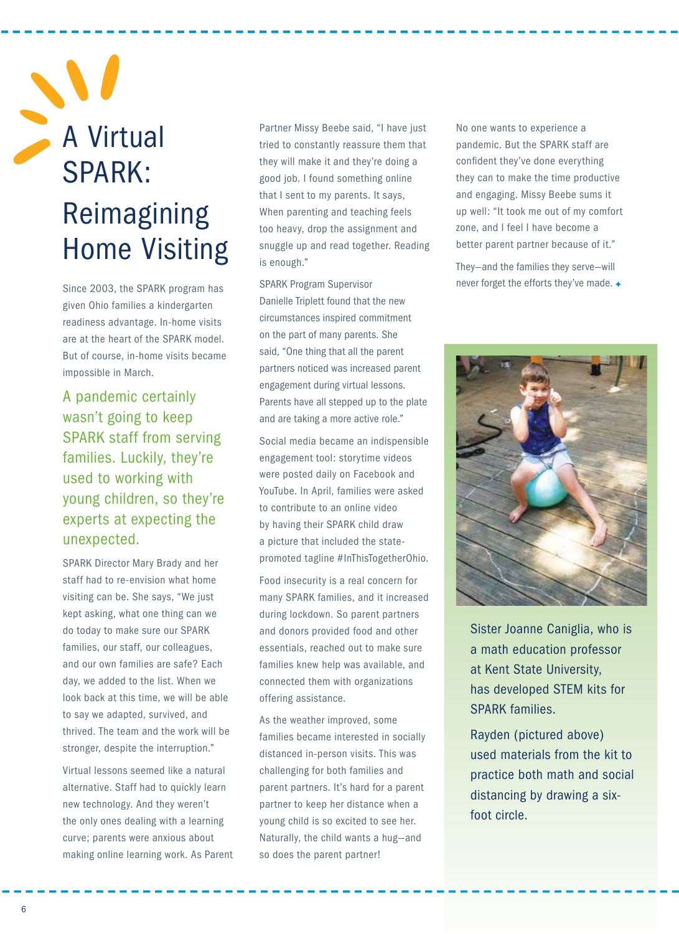## A Virtual SPARK: Reimagining Home Visiting

Since 2003, the SPARK program has given Ohio families a kindergarten readiness advantage. In-home visits are at the heart of the SPARK model. But of course, in-home visits became impossible in March.

A pandemic certainly wasn't going to keep SPARK staff from serving families. Luckily, they're used to working with young children, so they're experts at expecting the unexpected.

SPARK Director Mary Brady and her staff had to re-envision what home visiting can be. She says, "We just kept asking, what one thing can we do today to make sure our SPARK families, our staff, our colleagues, and our own families are safe? Each day, we added to the list. When we look back at this time, we will be able to say we adapted, survived, and thrived. The team and the work will be stronger, despite the interruption."

Virtual lessons seemed like a natural alternative. Staff had to quickly learn new technology. And they weren't the only ones dealing with a learning curve; parents were anxious about making online learning work. As Parent Partner Missy Beebe said, "I have just tried to constantly reassure them that they will make it and they're doing a good job. I found something online that I sent to my parents. It says, When parenting and teaching feels too heavy, drop the assignment and snuggle up and read together. Reading is enough."

SPARK Program Supervisor Danielle Triplett found that the new circumstances inspired commitment on the part of many parents. She said, "One thing that all the parent partners noticed was increased parent engagement during virtual lessons. Parents have all stepped up to the plate and are taking a more active role."

Social media became an indispensible engagement tool: storytime videos were posted daily on Facebook and YouTube. In April, families were asked to contribute to an online video by having their SPARK child draw a picture that included the statepromoted tagline #InThisTogetherOhio.

Food insecurity is a real concern for many SPARK families, and it increased during lockdown. So parent partners and donors provided food and other essentials, reached out to make sure families knew help was available, and connected them with organizations offering assistance.

As the weather improved, some families became interested in socially distanced in-person visits. This was challenging for both families and parent partners. It's hard for a parent partner to keep her distance when a young child is so excited to see her. Naturally, the child wants a hug—and so does the parent partner!

No one wants to experience a pandemic. But the SPARK staff are confident they've done everything they can to make the time productive and engaging. Missy Beebe sums it up well: "It took me out of my comfort zone, and I feel I have become a better parent partner because of it."

They—and the families they serve—will never forget the efforts they've made.



Sister Joanne Caniglia, who is a math education professor at Kent State University, has developed STEM kits for SPARK families.

Rayden (pictured above) used materials from the kit to practice both math and social distancing by drawing a sixfoot circle.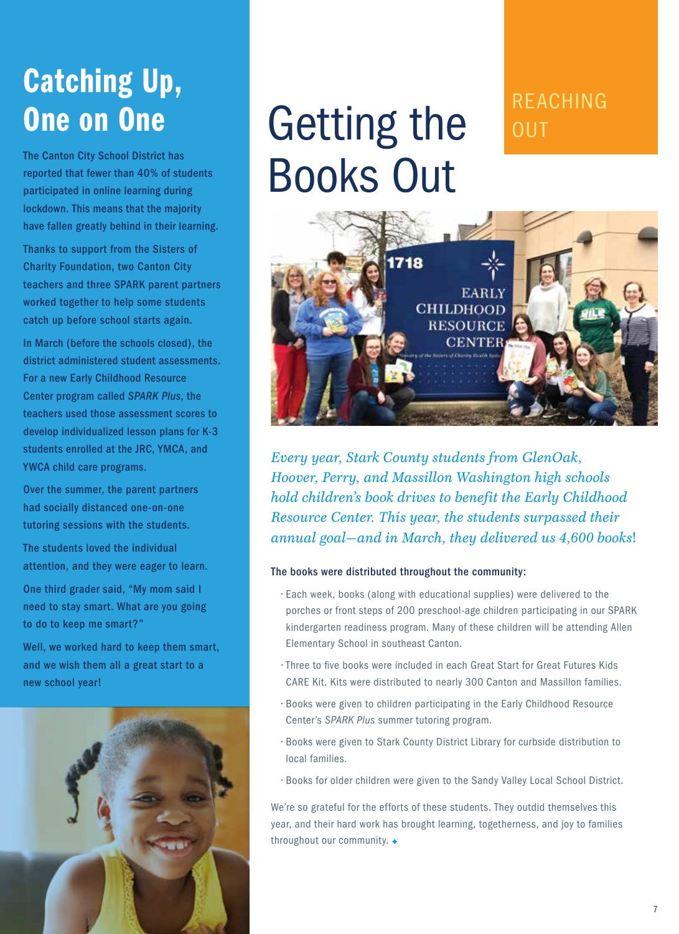## Catching Up, One on One

The Canton City School District has reported that fewer than 40% of students participated in online learning during lockdown. This means that the majority have fallen greatly behind in their learning.

Thanks to support from the Sisters of Charity Foundation, two Canton City teachers and three SPARK parent partners worked together to help some students catch up before school starts again.

In March (before the schools closed), the district administered student assessments. For a new Early Childhood Resource Center program called *SPARK Plus*, the teachers used those assessment scores to develop individualized lesson plans for K-3 students enrolled at the JRC, YMCA, and YWCA child care programs.

Over the summer, the parent partners had socially distanced one-on-one tutoring sessions with the students.

The students loved the individual attention, and they were eager to learn.

One third grader said, "My mom said I need to stay smart. What are you going to do to keep me smart?"

Well, we worked hard to keep them smart, and we wish them all a great start to a new school year!



## Getting the Books Out

#### REACHING **OUT**



*Every year, Stark County students from GlenOak, Hoover, Perry, and Massillon Washington high schools hold children's book drives to benefit the Early Childhood Resource Center. This year, the students surpassed their annual goal*—*and in March, they delivered us 4,600 books*!

#### The books were distributed throughout the community:

- Each week, books (along with educational supplies) were delivered to the porches or front steps of 200 preschool-age children participating in our SPARK kindergarten readiness program. Many of these children will be attending Allen Elementary School in southeast Canton.
- Three to five books were included in each Great Start for Great Futures Kids CARE Kit. Kits were distributed to nearly 300 Canton and Massillon families.
- Books were given to children participating in the Early Childhood Resource Center's *SPARK Plus* summer tutoring program.
- Books were given to Stark County District Library for curbside distribution to local families.
- Books for older children were given to the Sandy Valley Local School District.

We're so grateful for the efforts of these students. They outdid themselves this year, and their hard work has brought learning, togetherness, and joy to families throughout our community. +